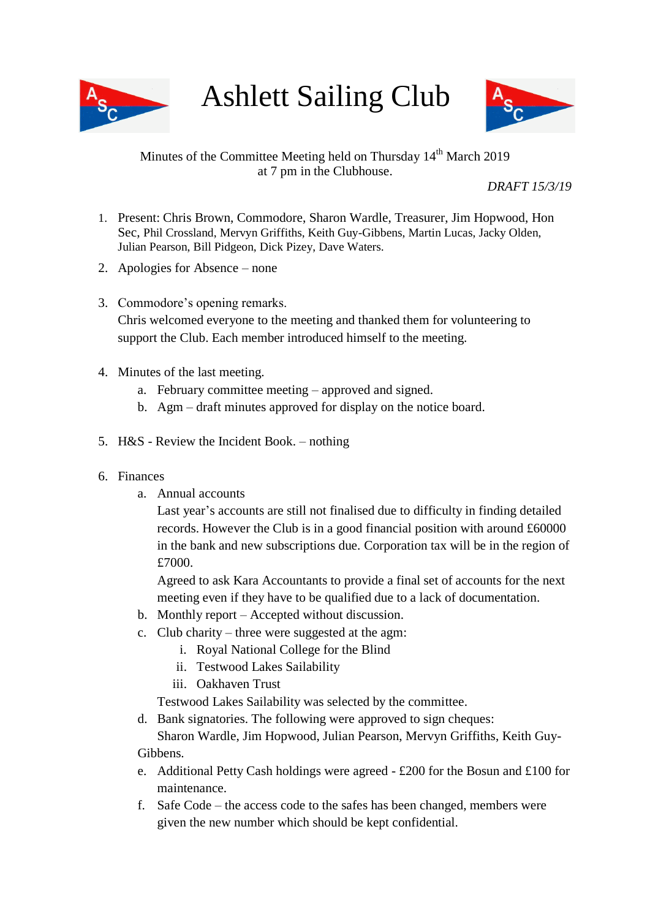

Ashlett Sailing Club



# Minutes of the Committee Meeting held on Thursday  $14<sup>th</sup>$  March 2019 at 7 pm in the Clubhouse.

*DRAFT 15/3/19*

- 1. Present: Chris Brown, Commodore, Sharon Wardle, Treasurer, Jim Hopwood, Hon Sec, Phil Crossland, Mervyn Griffiths, Keith Guy-Gibbens, Martin Lucas, Jacky Olden, Julian Pearson, Bill Pidgeon, Dick Pizey, Dave Waters.
- 2. Apologies for Absence none
- 3. Commodore's opening remarks. Chris welcomed everyone to the meeting and thanked them for volunteering to support the Club. Each member introduced himself to the meeting.
- 4. Minutes of the last meeting.
	- a. February committee meeting approved and signed.
	- b. Agm draft minutes approved for display on the notice board.
- 5. H&S Review the Incident Book. nothing
- 6. Finances
	- a. Annual accounts

Last year's accounts are still not finalised due to difficulty in finding detailed records. However the Club is in a good financial position with around £60000 in the bank and new subscriptions due. Corporation tax will be in the region of £7000.

Agreed to ask Kara Accountants to provide a final set of accounts for the next meeting even if they have to be qualified due to a lack of documentation.

- b. Monthly report Accepted without discussion.
- c. Club charity three were suggested at the agm:
	- i. Royal National College for the Blind
	- ii. Testwood Lakes Sailability
	- iii. Oakhaven Trust

Testwood Lakes Sailability was selected by the committee.

d. Bank signatories. The following were approved to sign cheques:

Sharon Wardle, Jim Hopwood, Julian Pearson, Mervyn Griffiths, Keith Guy-Gibbens.

- e. Additional Petty Cash holdings were agreed £200 for the Bosun and £100 for maintenance.
- f. Safe Code the access code to the safes has been changed, members were given the new number which should be kept confidential.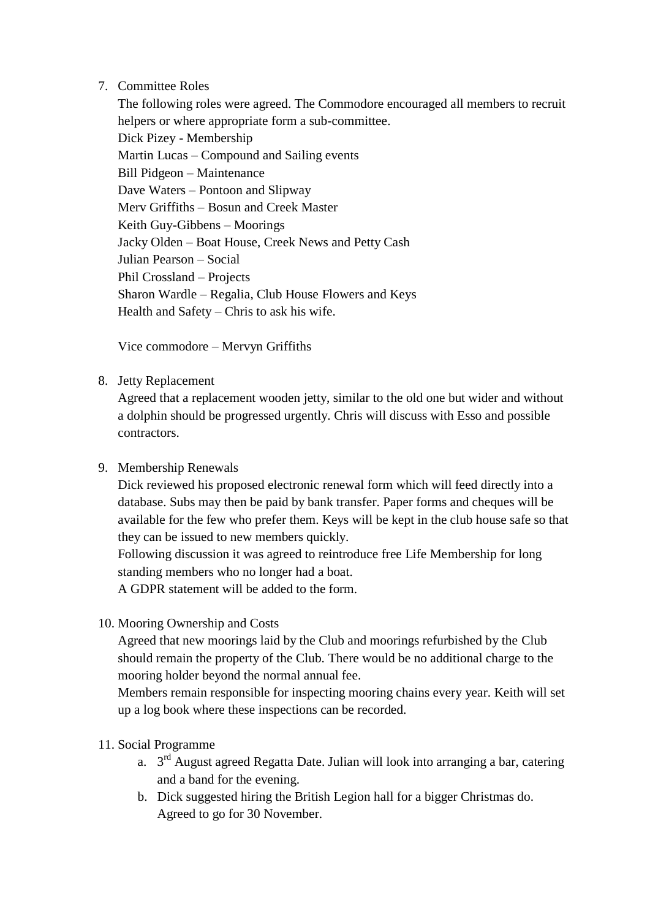#### 7. Committee Roles

The following roles were agreed. The Commodore encouraged all members to recruit helpers or where appropriate form a sub-committee. Dick Pizey - Membership Martin Lucas – Compound and Sailing events Bill Pidgeon – Maintenance Dave Waters – Pontoon and Slipway Merv Griffiths – Bosun and Creek Master Keith Guy-Gibbens – Moorings Jacky Olden – Boat House, Creek News and Petty Cash Julian Pearson – Social Phil Crossland – Projects Sharon Wardle – Regalia, Club House Flowers and Keys Health and Safety – Chris to ask his wife.

Vice commodore – Mervyn Griffiths

## 8. Jetty Replacement

Agreed that a replacement wooden jetty, similar to the old one but wider and without a dolphin should be progressed urgently. Chris will discuss with Esso and possible contractors.

## 9. Membership Renewals

Dick reviewed his proposed electronic renewal form which will feed directly into a database. Subs may then be paid by bank transfer. Paper forms and cheques will be available for the few who prefer them. Keys will be kept in the club house safe so that they can be issued to new members quickly.

Following discussion it was agreed to reintroduce free Life Membership for long standing members who no longer had a boat.

A GDPR statement will be added to the form.

10. Mooring Ownership and Costs

Agreed that new moorings laid by the Club and moorings refurbished by the Club should remain the property of the Club. There would be no additional charge to the mooring holder beyond the normal annual fee.

Members remain responsible for inspecting mooring chains every year. Keith will set up a log book where these inspections can be recorded.

## 11. Social Programme

- a.  $3<sup>rd</sup>$  August agreed Regatta Date. Julian will look into arranging a bar, catering and a band for the evening.
- b. Dick suggested hiring the British Legion hall for a bigger Christmas do. Agreed to go for 30 November.